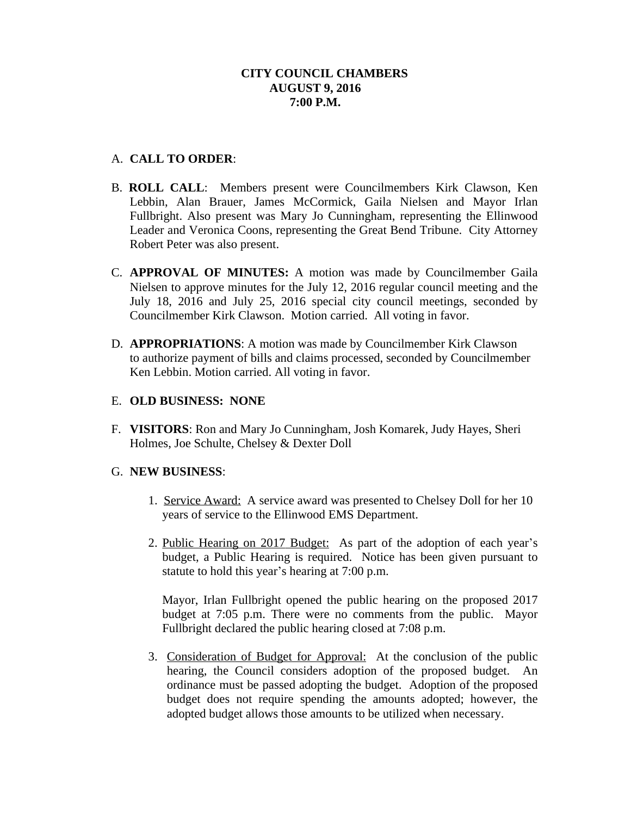# A. **CALL TO ORDER**:

- B. **ROLL CALL**: Members present were Councilmembers Kirk Clawson, Ken Lebbin, Alan Brauer, James McCormick, Gaila Nielsen and Mayor Irlan Fullbright. Also present was Mary Jo Cunningham, representing the Ellinwood Leader and Veronica Coons, representing the Great Bend Tribune. City Attorney Robert Peter was also present.
- C. **APPROVAL OF MINUTES:** A motion was made by Councilmember Gaila Nielsen to approve minutes for the July 12, 2016 regular council meeting and the July 18, 2016 and July 25, 2016 special city council meetings, seconded by Councilmember Kirk Clawson. Motion carried. All voting in favor.
- D. **APPROPRIATIONS**: A motion was made by Councilmember Kirk Clawson to authorize payment of bills and claims processed, seconded by Councilmember Ken Lebbin. Motion carried. All voting in favor.

# E. **OLD BUSINESS: NONE**

F. **VISITORS**: Ron and Mary Jo Cunningham, Josh Komarek, Judy Hayes, Sheri Holmes, Joe Schulte, Chelsey & Dexter Doll

# G. **NEW BUSINESS**:

- 1. Service Award: A service award was presented to Chelsey Doll for her 10 years of service to the Ellinwood EMS Department.
- 2. Public Hearing on 2017 Budget: As part of the adoption of each year's budget, a Public Hearing is required. Notice has been given pursuant to statute to hold this year's hearing at 7:00 p.m.

Mayor, Irlan Fullbright opened the public hearing on the proposed 2017 budget at 7:05 p.m. There were no comments from the public. Mayor Fullbright declared the public hearing closed at 7:08 p.m.

3. Consideration of Budget for Approval: At the conclusion of the public hearing, the Council considers adoption of the proposed budget. An ordinance must be passed adopting the budget. Adoption of the proposed budget does not require spending the amounts adopted; however, the adopted budget allows those amounts to be utilized when necessary.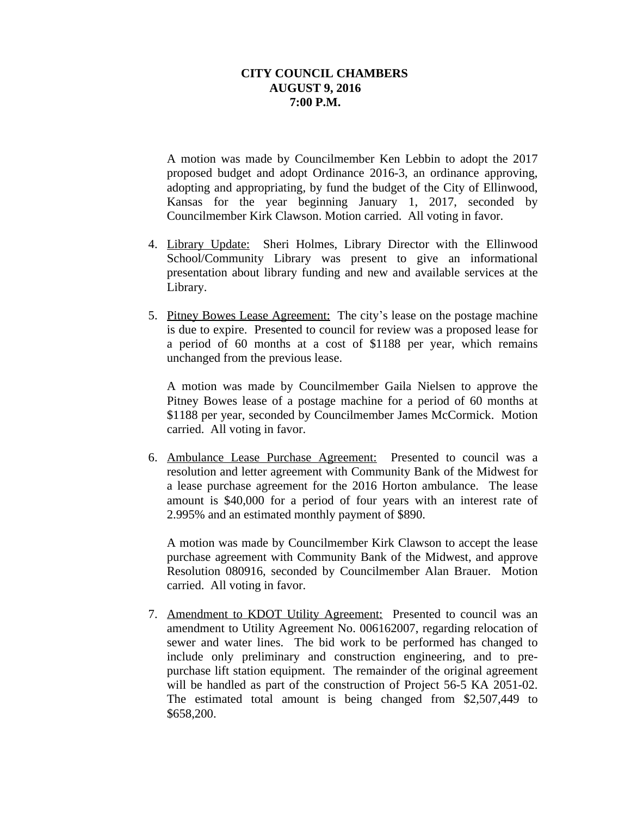A motion was made by Councilmember Ken Lebbin to adopt the 2017 proposed budget and adopt Ordinance 2016-3, an ordinance approving, adopting and appropriating, by fund the budget of the City of Ellinwood, Kansas for the year beginning January 1, 2017, seconded by Councilmember Kirk Clawson. Motion carried. All voting in favor.

- 4. Library Update: Sheri Holmes, Library Director with the Ellinwood School/Community Library was present to give an informational presentation about library funding and new and available services at the Library.
- 5. Pitney Bowes Lease Agreement: The city's lease on the postage machine is due to expire. Presented to council for review was a proposed lease for a period of 60 months at a cost of \$1188 per year, which remains unchanged from the previous lease.

A motion was made by Councilmember Gaila Nielsen to approve the Pitney Bowes lease of a postage machine for a period of 60 months at \$1188 per year, seconded by Councilmember James McCormick. Motion carried. All voting in favor.

6. Ambulance Lease Purchase Agreement: Presented to council was a resolution and letter agreement with Community Bank of the Midwest for a lease purchase agreement for the 2016 Horton ambulance. The lease amount is \$40,000 for a period of four years with an interest rate of 2.995% and an estimated monthly payment of \$890.

A motion was made by Councilmember Kirk Clawson to accept the lease purchase agreement with Community Bank of the Midwest, and approve Resolution 080916, seconded by Councilmember Alan Brauer. Motion carried. All voting in favor.

 7. Amendment to KDOT Utility Agreement: Presented to council was an amendment to Utility Agreement No. 006162007, regarding relocation of sewer and water lines. The bid work to be performed has changed to include only preliminary and construction engineering, and to prepurchase lift station equipment. The remainder of the original agreement will be handled as part of the construction of Project 56-5 KA 2051-02. The estimated total amount is being changed from \$2,507,449 to \$658,200.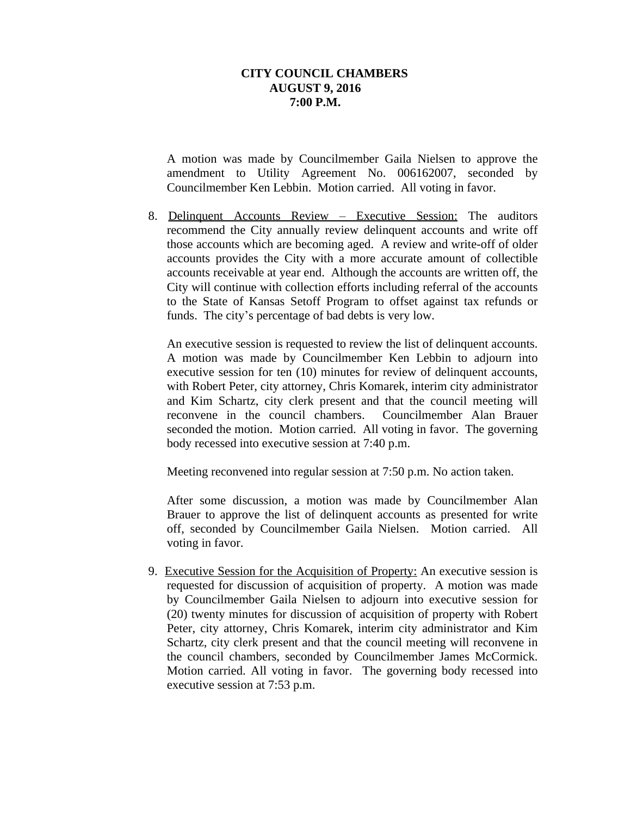A motion was made by Councilmember Gaila Nielsen to approve the amendment to Utility Agreement No. 006162007, seconded by Councilmember Ken Lebbin. Motion carried. All voting in favor.

8. Delinquent Accounts Review – Executive Session: The auditors recommend the City annually review delinquent accounts and write off those accounts which are becoming aged. A review and write-off of older accounts provides the City with a more accurate amount of collectible accounts receivable at year end. Although the accounts are written off, the City will continue with collection efforts including referral of the accounts to the State of Kansas Setoff Program to offset against tax refunds or funds. The city's percentage of bad debts is very low.

An executive session is requested to review the list of delinquent accounts. A motion was made by Councilmember Ken Lebbin to adjourn into executive session for ten (10) minutes for review of delinquent accounts, with Robert Peter, city attorney, Chris Komarek, interim city administrator and Kim Schartz, city clerk present and that the council meeting will reconvene in the council chambers. Councilmember Alan Brauer seconded the motion. Motion carried. All voting in favor. The governing body recessed into executive session at 7:40 p.m.

Meeting reconvened into regular session at 7:50 p.m. No action taken.

After some discussion, a motion was made by Councilmember Alan Brauer to approve the list of delinquent accounts as presented for write off, seconded by Councilmember Gaila Nielsen. Motion carried. All voting in favor.

9. Executive Session for the Acquisition of Property: An executive session is requested for discussion of acquisition of property. A motion was made by Councilmember Gaila Nielsen to adjourn into executive session for (20) twenty minutes for discussion of acquisition of property with Robert Peter, city attorney, Chris Komarek, interim city administrator and Kim Schartz, city clerk present and that the council meeting will reconvene in the council chambers, seconded by Councilmember James McCormick. Motion carried. All voting in favor. The governing body recessed into executive session at 7:53 p.m.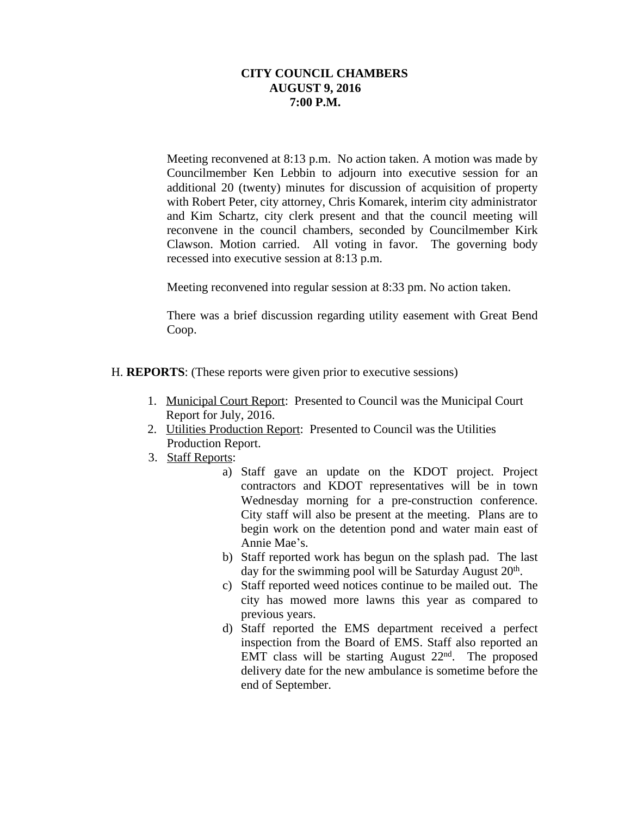Meeting reconvened at 8:13 p.m. No action taken. A motion was made by Councilmember Ken Lebbin to adjourn into executive session for an additional 20 (twenty) minutes for discussion of acquisition of property with Robert Peter, city attorney, Chris Komarek, interim city administrator and Kim Schartz, city clerk present and that the council meeting will reconvene in the council chambers, seconded by Councilmember Kirk Clawson. Motion carried. All voting in favor. The governing body recessed into executive session at 8:13 p.m.

Meeting reconvened into regular session at 8:33 pm. No action taken.

There was a brief discussion regarding utility easement with Great Bend Coop.

- H. **REPORTS**: (These reports were given prior to executive sessions)
	- 1. Municipal Court Report: Presented to Council was the Municipal Court Report for July, 2016.
	- 2. Utilities Production Report: Presented to Council was the Utilities Production Report.
	- 3. Staff Reports:
		- a) Staff gave an update on the KDOT project. Project contractors and KDOT representatives will be in town Wednesday morning for a pre-construction conference. City staff will also be present at the meeting. Plans are to begin work on the detention pond and water main east of Annie Mae's.
		- b) Staff reported work has begun on the splash pad. The last day for the swimming pool will be Saturday August 20<sup>th</sup>.
		- c) Staff reported weed notices continue to be mailed out. The city has mowed more lawns this year as compared to previous years.
		- d) Staff reported the EMS department received a perfect inspection from the Board of EMS. Staff also reported an EMT class will be starting August 22nd . The proposed delivery date for the new ambulance is sometime before the end of September.